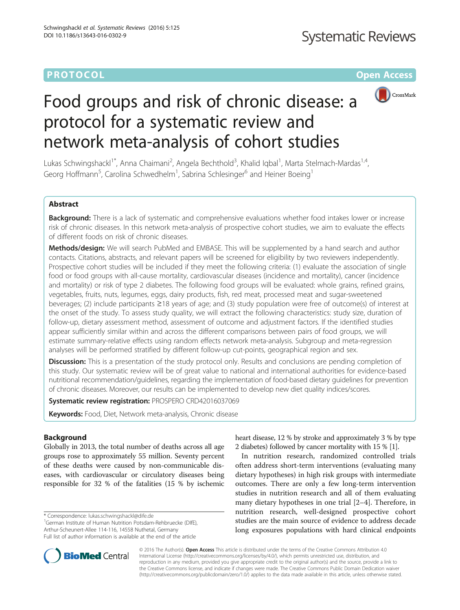# **PROTOCOL CONSUMING THE OPEN ACCESS**



# Food groups and risk of chronic disease: a protocol for a systematic review and network meta-analysis of cohort studies

Lukas Schwingshackl<sup>1\*</sup>, Anna Chaimani<sup>2</sup>, Angela Bechthold<sup>3</sup>, Khalid Iqbal<sup>1</sup>, Marta Stelmach-Mardas<sup>1,4</sup>, Georg Hoffmann<sup>5</sup>, Carolina Schwedhelm<sup>1</sup>, Sabrina Schlesinger<sup>6</sup> and Heiner Boeing<sup>1</sup>

# Abstract

Background: There is a lack of systematic and comprehensive evaluations whether food intakes lower or increase risk of chronic diseases. In this network meta-analysis of prospective cohort studies, we aim to evaluate the effects of different foods on risk of chronic diseases.

Methods/design: We will search PubMed and EMBASE. This will be supplemented by a hand search and author contacts. Citations, abstracts, and relevant papers will be screened for eligibility by two reviewers independently. Prospective cohort studies will be included if they meet the following criteria: (1) evaluate the association of single food or food groups with all-cause mortality, cardiovascular diseases (incidence and mortality), cancer (incidence and mortality) or risk of type 2 diabetes. The following food groups will be evaluated: whole grains, refined grains, vegetables, fruits, nuts, legumes, eggs, dairy products, fish, red meat, processed meat and sugar-sweetened beverages; (2) include participants ≥18 years of age; and (3) study population were free of outcome(s) of interest at the onset of the study. To assess study quality, we will extract the following characteristics: study size, duration of follow-up, dietary assessment method, assessment of outcome and adjustment factors. If the identified studies appear sufficiently similar within and across the different comparisons between pairs of food groups, we will estimate summary-relative effects using random effects network meta-analysis. Subgroup and meta-regression analyses will be performed stratified by different follow-up cut-points, geographical region and sex.

**Discussion:** This is a presentation of the study protocol only. Results and conclusions are pending completion of this study. Our systematic review will be of great value to national and international authorities for evidence-based nutritional recommendation/guidelines, regarding the implementation of food-based dietary guidelines for prevention of chronic diseases. Moreover, our results can be implemented to develop new diet quality indices/scores.

Systematic review registration: PROSPERO [CRD42016037069](http://www.crd.york.ac.uk/PROSPERO/display_record.asp?ID=CRD42016037069)

Keywords: Food, Diet, Network meta-analysis, Chronic disease

# Background

Globally in 2013, the total number of deaths across all age groups rose to approximately 55 million. Seventy percent of these deaths were caused by non-communicable diseases, with cardiovascular or circulatory diseases being responsible for 32 % of the fatalities (15 % by ischemic

\* Correspondence: [lukas.schwingshackl@dife.de](mailto:lukas.schwingshackl@dife.de) <sup>1</sup>

<sup>1</sup>German Institute of Human Nutrition Potsdam-Rehbruecke (DIfE), Arthur-Scheunert-Allee 114-116, 14558 Nuthetal, Germany Full list of author information is available at the end of the article

heart disease, 12 % by stroke and approximately 3 % by type 2 diabetes) followed by cancer mortality with 15 % [\[1](#page-5-0)].

In nutrition research, randomized controlled trials often address short-term interventions (evaluating many dietary hypotheses) in high risk groups with intermediate outcomes. There are only a few long-term intervention studies in nutrition research and all of them evaluating many dietary hypotheses in one trial [[2](#page-5-0)–[4\]](#page-6-0). Therefore, in nutrition research, well-designed prospective cohort studies are the main source of evidence to address decade long exposures populations with hard clinical endpoints



© 2016 The Author(s). Open Access This article is distributed under the terms of the Creative Commons Attribution 4.0 International License [\(http://creativecommons.org/licenses/by/4.0/](http://creativecommons.org/licenses/by/4.0/)), which permits unrestricted use, distribution, and reproduction in any medium, provided you give appropriate credit to the original author(s) and the source, provide a link to the Creative Commons license, and indicate if changes were made. The Creative Commons Public Domain Dedication waiver [\(http://creativecommons.org/publicdomain/zero/1.0/](http://creativecommons.org/publicdomain/zero/1.0/)) applies to the data made available in this article, unless otherwise stated.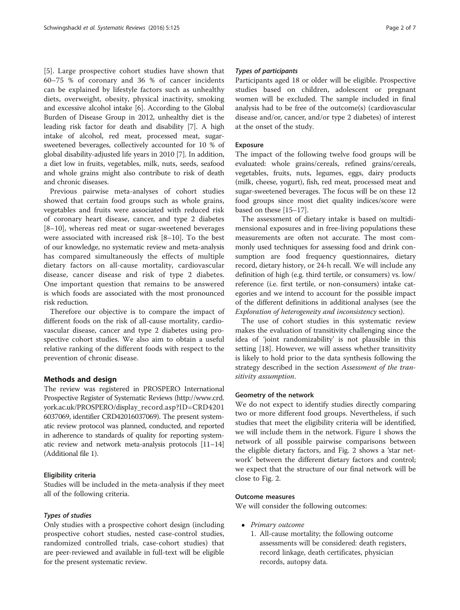[[5\]](#page-6-0). Large prospective cohort studies have shown that 60–75 % of coronary and 36 % of cancer incidents can be explained by lifestyle factors such as unhealthy diets, overweight, obesity, physical inactivity, smoking and excessive alcohol intake [[6\]](#page-6-0). According to the Global Burden of Disease Group in 2012, unhealthy diet is the leading risk factor for death and disability [[7\]](#page-6-0). A high intake of alcohol, red meat, processed meat, sugarsweetened beverages, collectively accounted for 10 % of global disability-adjusted life years in 2010 [[7](#page-6-0)]. In addition, a diet low in fruits, vegetables, milk, nuts, seeds, seafood and whole grains might also contribute to risk of death and chronic diseases.

Previous pairwise meta-analyses of cohort studies showed that certain food groups such as whole grains, vegetables and fruits were associated with reduced risk of coronary heart disease, cancer, and type 2 diabetes [[8](#page-6-0)–[10\]](#page-6-0), whereas red meat or sugar-sweetened beverages were associated with increased risk [[8](#page-6-0)–[10](#page-6-0)]. To the best of our knowledge, no systematic review and meta-analysis has compared simultaneously the effects of multiple dietary factors on all-cause mortality, cardiovascular disease, cancer disease and risk of type 2 diabetes. One important question that remains to be answered is which foods are associated with the most pronounced risk reduction.

Therefore our objective is to compare the impact of different foods on the risk of all-cause mortality, cardiovascular disease, cancer and type 2 diabetes using prospective cohort studies. We also aim to obtain a useful relative ranking of the different foods with respect to the prevention of chronic disease.

## Methods and design

The review was registered in PROSPERO International Prospective Register of Systematic Reviews [\(http://www.crd.](http://www.crd.york.ac.uk/PROSPERO/display_record.asp?ID=CRD42016037069) [york.ac.uk/PROSPERO/display\\_record.asp?ID=CRD4201](http://www.crd.york.ac.uk/PROSPERO/display_record.asp?ID=CRD42016037069) [6037069,](http://www.crd.york.ac.uk/PROSPERO/display_record.asp?ID=CRD42016037069) identifier CRD42016037069). The present systematic review protocol was planned, conducted, and reported in adherence to standards of quality for reporting systematic review and network meta-analysis protocols [[11](#page-6-0)–[14](#page-6-0)] (Additional file [1](#page-5-0)).

## Eligibility criteria

Studies will be included in the meta-analysis if they meet all of the following criteria.

## Types of studies

Only studies with a prospective cohort design (including prospective cohort studies, nested case-control studies, randomized controlled trials, case-cohort studies) that are peer-reviewed and available in full-text will be eligible for the present systematic review.

# Types of participants

Participants aged 18 or older will be eligible. Prospective studies based on children, adolescent or pregnant women will be excluded. The sample included in final analysis had to be free of the outcome(s) (cardiovascular disease and/or, cancer, and/or type 2 diabetes) of interest at the onset of the study.

## Exposure

The impact of the following twelve food groups will be evaluated: whole grains/cereals, refined grains/cereals, vegetables, fruits, nuts, legumes, eggs, dairy products (milk, cheese, yogurt), fish, red meat, processed meat and sugar-sweetened beverages. The focus will be on these 12 food groups since most diet quality indices/score were based on these [\[15](#page-6-0)–[17](#page-6-0)].

The assessment of dietary intake is based on multidimensional exposures and in free-living populations these measurements are often not accurate. The most commonly used techniques for assessing food and drink consumption are food frequency questionnaires, dietary record, dietary history, or 24-h recall. We will include any definition of high (e.g. third tertile, or consumers) vs. low/ reference (i.e. first tertile, or non-consumers) intake categories and we intend to account for the possible impact of the different definitions in additional analyses (see the [Exploration of heterogeneity and inconsistency](#page-5-0) section).

The use of cohort studies in this systematic review makes the evaluation of transitivity challenging since the idea of 'joint randomizability' is not plausible in this setting [[18](#page-6-0)]. However, we will assess whether transitivity is likely to hold prior to the data synthesis following the strategy described in the section [Assessment of the tran](#page-4-0)[sitivity assumption](#page-4-0).

## Geometry of the network

We do not expect to identify studies directly comparing two or more different food groups. Nevertheless, if such studies that meet the eligibility criteria will be identified, we will include them in the network. Figure [1](#page-2-0) shows the network of all possible pairwise comparisons between the eligible dietary factors, and Fig. [2](#page-2-0) shows a 'star network' between the different dietary factors and control; we expect that the structure of our final network will be close to Fig. [2.](#page-2-0)

## Outcome measures

We will consider the following outcomes:

- Primary outcome
	- 1. All-cause mortality; the following outcome assessments will be considered: death registers, record linkage, death certificates, physician records, autopsy data.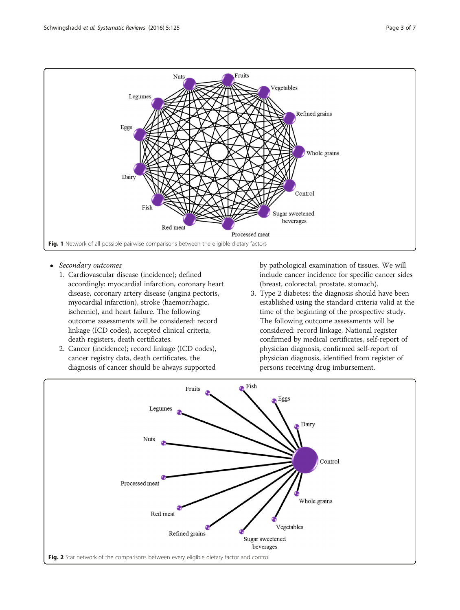<span id="page-2-0"></span>

- Secondary outcomes
	- 1. Cardiovascular disease (incidence); defined accordingly: myocardial infarction, coronary heart disease, coronary artery disease (angina pectoris, myocardial infarction), stroke (haemorrhagic, ischemic), and heart failure. The following outcome assessments will be considered: record linkage (ICD codes), accepted clinical criteria, death registers, death certificates.
	- 2. Cancer (incidence); record linkage (ICD codes), cancer registry data, death certificates, the diagnosis of cancer should be always supported

by pathological examination of tissues. We will include cancer incidence for specific cancer sides (breast, colorectal, prostate, stomach).

3. Type 2 diabetes: the diagnosis should have been established using the standard criteria valid at the time of the beginning of the prospective study. The following outcome assessments will be considered: record linkage, National register confirmed by medical certificates, self-report of physician diagnosis, confirmed self-report of physician diagnosis, identified from register of persons receiving drug imbursement.

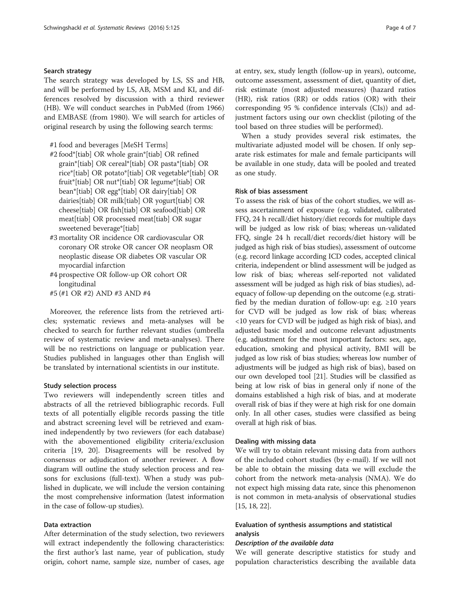# <span id="page-3-0"></span>Search strategy

The search strategy was developed by LS, SS and HB, and will be performed by LS, AB, MSM and KI, and differences resolved by discussion with a third reviewer (HB). We will conduct searches in PubMed (from 1966) and EMBASE (from 1980). We will search for articles of original research by using the following search terms:

#1 food and beverages [MeSH Terms]

- #2 food\*[tiab] OR whole grain\*[tiab] OR refined grain\*[tiab] OR cereal\*[tiab] OR pasta\*[tiab] OR rice\*[tiab] OR potato\*[tiab] OR vegetable\*[tiab] OR fruit\*[tiab] OR nut\*[tiab] OR legume\*[tiab] OR bean\*[tiab] OR egg\*[tiab] OR dairy[tiab] OR dairies[tiab] OR milk[tiab] OR yogurt[tiab] OR cheese[tiab] OR fish[tiab] OR seafood[tiab] OR meat[tiab] OR processed meat[tiab] OR sugar sweetened beverage\*[tiab]
- #3 mortality OR incidence OR cardiovascular OR coronary OR stroke OR cancer OR neoplasm OR neoplastic disease OR diabetes OR vascular OR myocardial infarction
- #4 prospective OR follow-up OR cohort OR longitudinal
- #5 (#1 OR #2) AND #3 AND #4

Moreover, the reference lists from the retrieved articles; systematic reviews and meta-analyses will be checked to search for further relevant studies (umbrella review of systematic review and meta-analyses). There will be no restrictions on language or publication year. Studies published in languages other than English will be translated by international scientists in our institute.

#### Study selection process

Two reviewers will independently screen titles and abstracts of all the retrieved bibliographic records. Full texts of all potentially eligible records passing the title and abstract screening level will be retrieved and examined independently by two reviewers (for each database) with the abovementioned eligibility criteria/exclusion criteria [\[19](#page-6-0), [20](#page-6-0)]. Disagreements will be resolved by consensus or adjudication of another reviewer. A flow diagram will outline the study selection process and reasons for exclusions (full-text). When a study was published in duplicate, we will include the version containing the most comprehensive information (latest information in the case of follow-up studies).

## Data extraction

After determination of the study selection, two reviewers will extract independently the following characteristics: the first author's last name, year of publication, study origin, cohort name, sample size, number of cases, age at entry, sex, study length (follow-up in years), outcome, outcome assessment, assessment of diet, quantity of diet, risk estimate (most adjusted measures) (hazard ratios (HR), risk ratios (RR) or odds ratios (OR) with their corresponding 95 % confidence intervals (CIs)) and adjustment factors using our own checklist (piloting of the tool based on three studies will be performed).

When a study provides several risk estimates, the multivariate adjusted model will be chosen. If only separate risk estimates for male and female participants will be available in one study, data will be pooled and treated as one study.

## Risk of bias assessment

To assess the risk of bias of the cohort studies, we will assess ascertainment of exposure (e.g. validated, calibrated FFQ, 24 h recall/diet history/diet records for multiple days will be judged as low risk of bias; whereas un-validated FFQ, single 24 h recall/diet records/diet history will be judged as high risk of bias studies), assessment of outcome (e.g. record linkage according ICD codes, accepted clinical criteria, independent or blind assessment will be judged as low risk of bias; whereas self-reported not validated assessment will be judged as high risk of bias studies), adequacy of follow-up depending on the outcome (e.g. stratified by the median duration of follow-up: e.g.  $\geq 10$  years for CVD will be judged as low risk of bias; whereas <10 years for CVD will be judged as high risk of bias), and adjusted basic model and outcome relevant adjustments (e.g. adjustment for the most important factors: sex, age, education, smoking and physical activity, BMI will be judged as low risk of bias studies; whereas low number of adjustments will be judged as high risk of bias), based on our own developed tool [\[21\]](#page-6-0). Studies will be classified as being at low risk of bias in general only if none of the domains established a high risk of bias, and at moderate overall risk of bias if they were at high risk for one domain only. In all other cases, studies were classified as being overall at high risk of bias.

# Dealing with missing data

We will try to obtain relevant missing data from authors of the included cohort studies (by e-mail). If we will not be able to obtain the missing data we will exclude the cohort from the network meta-analysis (NMA). We do not expect high missing data rate, since this phenomenon is not common in meta-analysis of observational studies [[15](#page-6-0), [18, 22](#page-6-0)].

# Evaluation of synthesis assumptions and statistical analysis

#### Description of the available data

We will generate descriptive statistics for study and population characteristics describing the available data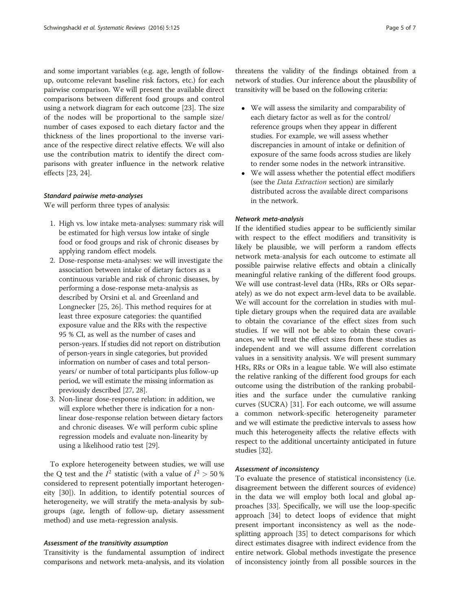<span id="page-4-0"></span>and some important variables (e.g. age, length of followup, outcome relevant baseline risk factors, etc.) for each pairwise comparison. We will present the available direct comparisons between different food groups and control using a network diagram for each outcome [[23](#page-6-0)]. The size of the nodes will be proportional to the sample size/ number of cases exposed to each dietary factor and the thickness of the lines proportional to the inverse variance of the respective direct relative effects. We will also use the contribution matrix to identify the direct comparisons with greater influence in the network relative effects [[23, 24\]](#page-6-0).

#### Standard pairwise meta-analyses

We will perform three types of analysis:

- 1. High vs. low intake meta-analyses: summary risk will be estimated for high versus low intake of single food or food groups and risk of chronic diseases by applying random effect models.
- 2. Dose-response meta-analyses: we will investigate the association between intake of dietary factors as a continuous variable and risk of chronic diseases, by performing a dose-response meta-analysis as described by Orsini et al. and Greenland and Longnecker [[25](#page-6-0), [26\]](#page-6-0). This method requires for at least three exposure categories: the quantified exposure value and the RRs with the respective 95 % CI, as well as the number of cases and person-years. If studies did not report on distribution of person-years in single categories, but provided information on number of cases and total personyears/ or number of total participants plus follow-up period, we will estimate the missing information as previously described [\[27](#page-6-0), [28](#page-6-0)].
- 3. Non-linear dose-response relation: in addition, we will explore whether there is indication for a nonlinear dose-response relation between dietary factors and chronic diseases. We will perform cubic spline regression models and evaluate non-linearity by using a likelihood ratio test [[29\]](#page-6-0).

To explore heterogeneity between studies, we will use the Q test and the  $I^2$  statistic (with a value of  $I^2 > 50\%$ considered to represent potentially important heterogeneity [\[30](#page-6-0)]). In addition, to identify potential sources of heterogeneity, we will stratify the meta-analysis by subgroups (age, length of follow-up, dietary assessment method) and use meta-regression analysis.

#### Assessment of the transitivity assumption

Transitivity is the fundamental assumption of indirect comparisons and network meta-analysis, and its violation threatens the validity of the findings obtained from a network of studies. Our inference about the plausibility of transitivity will be based on the following criteria:

- We will assess the similarity and comparability of each dietary factor as well as for the control/ reference groups when they appear in different studies. For example, we will assess whether discrepancies in amount of intake or definition of exposure of the same foods across studies are likely to render some nodes in the network intransitive.
- We will assess whether the potential effect modifiers (see the [Data Extraction](#page-3-0) section) are similarly distributed across the available direct comparisons in the network.

#### Network meta-analysis

If the identified studies appear to be sufficiently similar with respect to the effect modifiers and transitivity is likely be plausible, we will perform a random effects network meta-analysis for each outcome to estimate all possible pairwise relative effects and obtain a clinically meaningful relative ranking of the different food groups. We will use contrast-level data (HRs, RRs or ORs separately) as we do not expect arm-level data to be available. We will account for the correlation in studies with multiple dietary groups when the required data are available to obtain the covariance of the effect sizes from such studies. If we will not be able to obtain these covariances, we will treat the effect sizes from these studies as independent and we will assume different correlation values in a sensitivity analysis. We will present summary HRs, RRs or ORs in a league table. We will also estimate the relative ranking of the different food groups for each outcome using the distribution of the ranking probabilities and the surface under the cumulative ranking curves (SUCRA) [[31\]](#page-6-0). For each outcome, we will assume a common network-specific heterogeneity parameter and we will estimate the predictive intervals to assess how much this heterogeneity affects the relative effects with respect to the additional uncertainty anticipated in future studies [\[32\]](#page-6-0).

#### Assessment of inconsistency

To evaluate the presence of statistical inconsistency (i.e. disagreement between the different sources of evidence) in the data we will employ both local and global approaches [\[33\]](#page-6-0). Specifically, we will use the loop-specific approach [[34\]](#page-6-0) to detect loops of evidence that might present important inconsistency as well as the nodesplitting approach [\[35\]](#page-6-0) to detect comparisons for which direct estimates disagree with indirect evidence from the entire network. Global methods investigate the presence of inconsistency jointly from all possible sources in the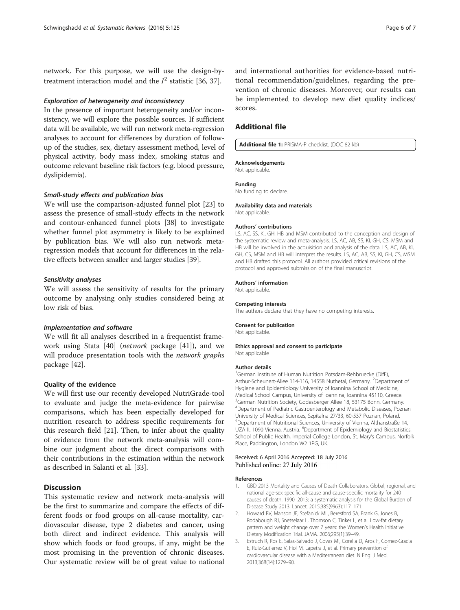<span id="page-5-0"></span>network. For this purpose, we will use the design-bytreatment interaction model and the  $I^2$  statistic [[36, 37\]](#page-6-0).

## Exploration of heterogeneity and inconsistency

In the presence of important heterogeneity and/or inconsistency, we will explore the possible sources. If sufficient data will be available, we will run network meta-regression analyses to account for differences by duration of followup of the studies, sex, dietary assessment method, level of physical activity, body mass index, smoking status and outcome relevant baseline risk factors (e.g. blood pressure, dyslipidemia).

#### Small-study effects and publication bias

We will use the comparison-adjusted funnel plot [[23\]](#page-6-0) to assess the presence of small-study effects in the network and contour-enhanced funnel plots [[38\]](#page-6-0) to investigate whether funnel plot asymmetry is likely to be explained by publication bias. We will also run network metaregression models that account for differences in the relative effects between smaller and larger studies [\[39\]](#page-6-0).

#### Sensitivity analyses

We will assess the sensitivity of results for the primary outcome by analysing only studies considered being at low risk of bias.

#### Implementation and software

We will fit all analyses described in a frequentist framework using Stata [\[40](#page-6-0)] (network package [[41\]](#page-6-0)), and we will produce presentation tools with the *network graphs* package [\[42](#page-6-0)].

#### Quality of the evidence

We will first use our recently developed NutriGrade-tool to evaluate and judge the meta-evidence for pairwise comparisons, which has been especially developed for nutrition research to address specific requirements for this research field [[21\]](#page-6-0). Then, to infer about the quality of evidence from the network meta-analysis will combine our judgment about the direct comparisons with their contributions in the estimation within the network as described in Salanti et al. [[33\]](#page-6-0).

# **Discussion**

This systematic review and network meta-analysis will be the first to summarize and compare the effects of different foods or food groups on all-cause mortality, cardiovascular disease, type 2 diabetes and cancer, using both direct and indirect evidence. This analysis will show which foods or food groups, if any, might be the most promising in the prevention of chronic diseases. Our systematic review will be of great value to national

and international authorities for evidence-based nutritional recommendation/guidelines, regarding the prevention of chronic diseases. Moreover, our results can be implemented to develop new diet quality indices/ scores.

# Additional file

#### [Additional file 1:](dx.doi.org/10.1186/s13643-016-0302-9) PRISMA-P checklist. (DOC 82 kb)

#### Acknowledgements

Not applicable.

#### Funding

No funding to declare.

# Availability data and materials

Not applicable.

#### Authors' contributions

LS, AC, SS, KI, GH, HB and MSM contributed to the conception and design of the systematic review and meta-analysis. LS, AC, AB, SS, KI, GH, CS, MSM and HB will be involved in the acquisition and analysis of the data. LS, AC, AB, KI, GH, CS, MSM and HB will interpret the results. LS, AC, AB, SS, KI, GH, CS, MSM and HB drafted this protocol. All authors provided critical revisions of the protocol and approved submission of the final manuscript.

#### Authors' information

Not applicable.

## Competing interests

The authors declare that they have no competing interests.

#### Consent for publication

Not applicable.

#### Ethics approval and consent to participate Not applicable

#### Author details

<sup>1</sup>German Institute of Human Nutrition Potsdam-Rehbruecke (DIfE), Arthur-Scheunert-Allee 114-116, 14558 Nuthetal, Germany. <sup>2</sup>Department of Hygiene and Epidemiology University of Ioannina School of Medicine, Medical School Campus, University of Ioannina, Ioannina 45110, Greece. <sup>3</sup>German Nutrition Society, Godesberger Allee 18, 53175 Bonn, Germany. 4 Department of Pediatric Gastroenterology and Metabolic Diseases, Poznan University of Medical Sciences, Szpitalna 27/33, 60-537 Poznan, Poland. 5 Department of Nutritional Sciences, University of Vienna, Althanstraße 14, UZA II, 1090 Vienna, Austria. <sup>6</sup>Department of Epidemiology and Biostatistics School of Public Health, Imperial College London, St. Mary's Campus, Norfolk Place, Paddington, London W2 1PG, UK.

#### Received: 6 April 2016 Accepted: 18 July 2016 Published online: 27 July 2016

#### References

- 1. GBD 2013 Mortality and Causes of Death Collaborators. Global, regional, and national age-sex specific all-cause and cause-specific mortality for 240 causes of death, 1990–2013: a systematic analysis for the Global Burden of Disease Study 2013. Lancet. 2015;385(9963):117–171.
- 2. Howard BV, Manson JE, Stefanick ML, Beresford SA, Frank G, Jones B, Rodabough RJ, Snetselaar L, Thomson C, Tinker L, et al. Low-fat dietary pattern and weight change over 7 years: the Women's Health Initiative Dietary Modification Trial. JAMA. 2006;295(1):39–49.
- 3. Estruch R, Ros E, Salas-Salvado J, Covas MI, Corella D, Aros F, Gomez-Gracia E, Ruiz-Gutierrez V, Fiol M, Lapetra J, et al. Primary prevention of cardiovascular disease with a Mediterranean diet. N Engl J Med. 2013;368(14):1279–90.